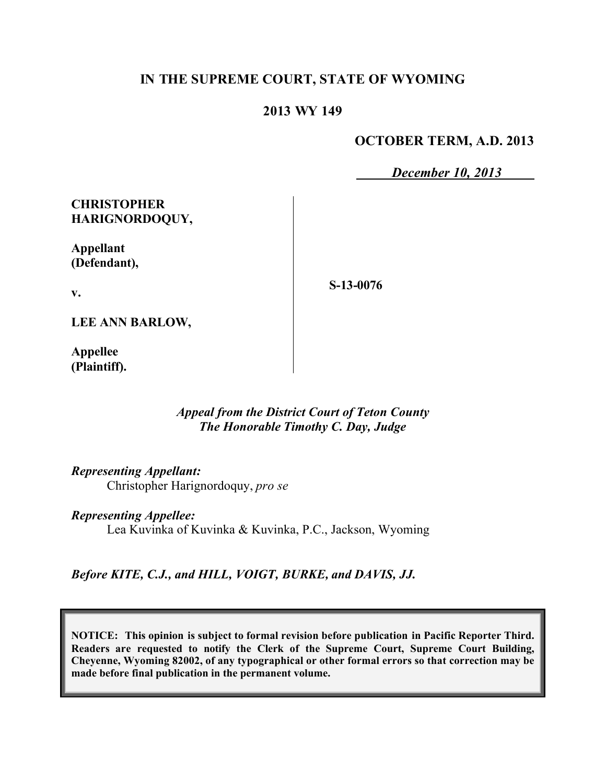# **IN THE SUPREME COURT, STATE OF WYOMING**

### **2013 WY 149**

#### **OCTOBER TERM, A.D. 2013**

*December 10, 2013*

## **CHRISTOPHER HARIGNORDOQUY,**

**Appellant (Defendant),**

**S-13-0076**

**LEE ANN BARLOW,**

**v.**

**Appellee (Plaintiff).**

#### *Appeal from the District Court of Teton County The Honorable Timothy C. Day, Judge*

*Representing Appellant:*

Christopher Harignordoquy, *pro se*

*Representing Appellee:*

Lea Kuvinka of Kuvinka & Kuvinka, P.C., Jackson, Wyoming

*Before KITE, C.J., and HILL, VOIGT, BURKE, and DAVIS, JJ.*

**NOTICE: This opinion is subject to formal revision before publication in Pacific Reporter Third. Readers are requested to notify the Clerk of the Supreme Court, Supreme Court Building, Cheyenne, Wyoming 82002, of any typographical or other formal errors so that correction may be made before final publication in the permanent volume.**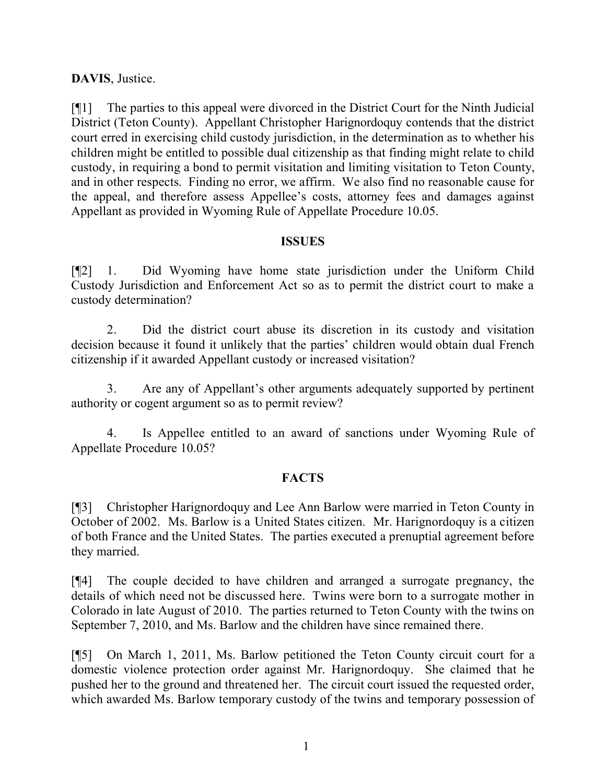# **DAVIS**, Justice.

[¶1] The parties to this appeal were divorced in the District Court for the Ninth Judicial District (Teton County). Appellant Christopher Harignordoquy contends that the district court erred in exercising child custody jurisdiction, in the determination as to whether his children might be entitled to possible dual citizenship as that finding might relate to child custody, in requiring a bond to permit visitation and limiting visitation to Teton County, and in other respects. Finding no error, we affirm. We also find no reasonable cause for the appeal, and therefore assess Appellee's costs, attorney fees and damages against Appellant as provided in Wyoming Rule of Appellate Procedure 10.05.

## **ISSUES**

[¶2] 1. Did Wyoming have home state jurisdiction under the Uniform Child Custody Jurisdiction and Enforcement Act so as to permit the district court to make a custody determination?

2. Did the district court abuse its discretion in its custody and visitation decision because it found it unlikely that the parties' children would obtain dual French citizenship if it awarded Appellant custody or increased visitation?

3. Are any of Appellant's other arguments adequately supported by pertinent authority or cogent argument so as to permit review?

4. Is Appellee entitled to an award of sanctions under Wyoming Rule of Appellate Procedure 10.05?

## **FACTS**

[¶3] Christopher Harignordoquy and Lee Ann Barlow were married in Teton County in October of 2002. Ms. Barlow is a United States citizen. Mr. Harignordoquy is a citizen of both France and the United States. The parties executed a prenuptial agreement before they married.

[¶4] The couple decided to have children and arranged a surrogate pregnancy, the details of which need not be discussed here. Twins were born to a surrogate mother in Colorado in late August of 2010. The parties returned to Teton County with the twins on September 7, 2010, and Ms. Barlow and the children have since remained there.

[¶5] On March 1, 2011, Ms. Barlow petitioned the Teton County circuit court for a domestic violence protection order against Mr. Harignordoquy. She claimed that he pushed her to the ground and threatened her. The circuit court issued the requested order, which awarded Ms. Barlow temporary custody of the twins and temporary possession of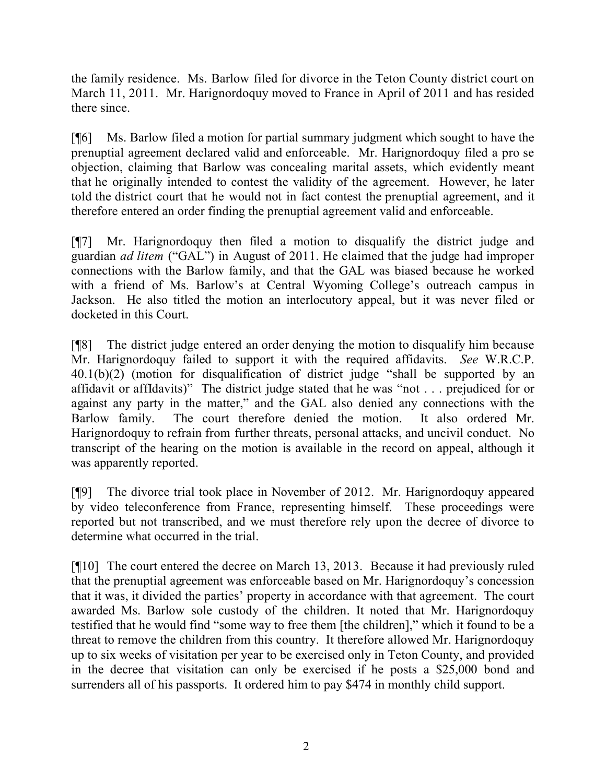the family residence. Ms. Barlow filed for divorce in the Teton County district court on March 11, 2011. Mr. Harignordoquy moved to France in April of 2011 and has resided there since.

[¶6] Ms. Barlow filed a motion for partial summary judgment which sought to have the prenuptial agreement declared valid and enforceable. Mr. Harignordoquy filed a pro se objection, claiming that Barlow was concealing marital assets, which evidently meant that he originally intended to contest the validity of the agreement. However, he later told the district court that he would not in fact contest the prenuptial agreement, and it therefore entered an order finding the prenuptial agreement valid and enforceable.

[¶7] Mr. Harignordoquy then filed a motion to disqualify the district judge and guardian *ad litem* ("GAL") in August of 2011. He claimed that the judge had improper connections with the Barlow family, and that the GAL was biased because he worked with a friend of Ms. Barlow's at Central Wyoming College's outreach campus in Jackson. He also titled the motion an interlocutory appeal, but it was never filed or docketed in this Court.

[¶8] The district judge entered an order denying the motion to disqualify him because Mr. Harignordoquy failed to support it with the required affidavits. *See* W.R.C.P. 40.1(b)(2) (motion for disqualification of district judge "shall be supported by an affidavit or affIdavits)" The district judge stated that he was "not . . . prejudiced for or against any party in the matter," and the GAL also denied any connections with the Barlow family. The court therefore denied the motion. It also ordered Mr. Harignordoquy to refrain from further threats, personal attacks, and uncivil conduct. No transcript of the hearing on the motion is available in the record on appeal, although it was apparently reported.

[¶9] The divorce trial took place in November of 2012. Mr. Harignordoquy appeared by video teleconference from France, representing himself. These proceedings were reported but not transcribed, and we must therefore rely upon the decree of divorce to determine what occurred in the trial.

[¶10] The court entered the decree on March 13, 2013. Because it had previously ruled that the prenuptial agreement was enforceable based on Mr. Harignordoquy's concession that it was, it divided the parties' property in accordance with that agreement. The court awarded Ms. Barlow sole custody of the children. It noted that Mr. Harignordoquy testified that he would find "some way to free them [the children]," which it found to be a threat to remove the children from this country. It therefore allowed Mr. Harignordoquy up to six weeks of visitation per year to be exercised only in Teton County, and provided in the decree that visitation can only be exercised if he posts a \$25,000 bond and surrenders all of his passports. It ordered him to pay \$474 in monthly child support.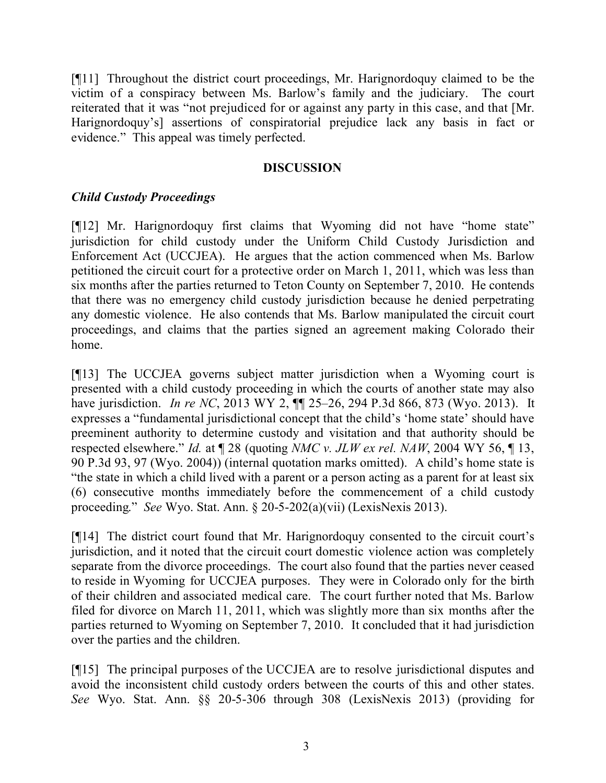[¶11] Throughout the district court proceedings, Mr. Harignordoquy claimed to be the victim of a conspiracy between Ms. Barlow's family and the judiciary. The court reiterated that it was "not prejudiced for or against any party in this case, and that [Mr. Harignordoquy's] assertions of conspiratorial prejudice lack any basis in fact or evidence." This appeal was timely perfected.

#### **DISCUSSION**

## *Child Custody Proceedings*

[¶12] Mr. Harignordoquy first claims that Wyoming did not have "home state" jurisdiction for child custody under the Uniform Child Custody Jurisdiction and Enforcement Act (UCCJEA). He argues that the action commenced when Ms. Barlow petitioned the circuit court for a protective order on March 1, 2011, which was less than six months after the parties returned to Teton County on September 7, 2010. He contends that there was no emergency child custody jurisdiction because he denied perpetrating any domestic violence. He also contends that Ms. Barlow manipulated the circuit court proceedings, and claims that the parties signed an agreement making Colorado their home.

[¶13] The UCCJEA governs subject matter jurisdiction when a Wyoming court is presented with a child custody proceeding in which the courts of another state may also have jurisdiction. *In re NC*, 2013 WY 2, ¶¶ 25–26, 294 P.3d 866, 873 (Wyo. 2013). It expresses a "fundamental jurisdictional concept that the child's 'home state' should have preeminent authority to determine custody and visitation and that authority should be respected elsewhere." *Id.* at ¶ 28 (quoting *NMC v. JLW ex rel. NAW*, 2004 WY 56, ¶ 13, 90 P.3d 93, 97 (Wyo. 2004)) (internal quotation marks omitted). A child's home state is "the state in which a child lived with a parent or a person acting as a parent for at least six (6) consecutive months immediately before the commencement of a child custody proceeding." *See* Wyo. Stat. Ann. § 20-5-202(a)(vii) (LexisNexis 2013).

[¶14] The district court found that Mr. Harignordoquy consented to the circuit court's jurisdiction, and it noted that the circuit court domestic violence action was completely separate from the divorce proceedings. The court also found that the parties never ceased to reside in Wyoming for UCCJEA purposes. They were in Colorado only for the birth of their children and associated medical care. The court further noted that Ms. Barlow filed for divorce on March 11, 2011, which was slightly more than six months after the parties returned to Wyoming on September 7, 2010. It concluded that it had jurisdiction over the parties and the children.

[¶15] The principal purposes of the UCCJEA are to resolve jurisdictional disputes and avoid the inconsistent child custody orders between the courts of this and other states. *See* Wyo. Stat. Ann. §§ 20-5-306 through 308 (LexisNexis 2013) (providing for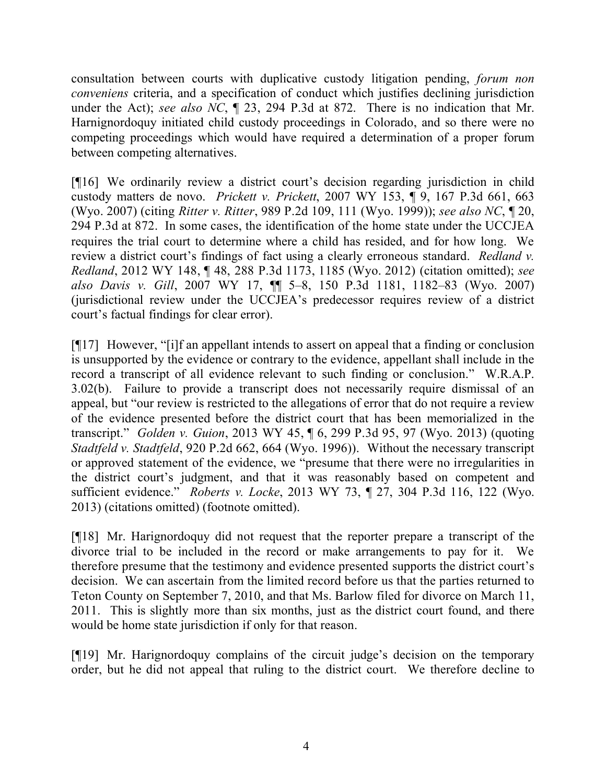consultation between courts with duplicative custody litigation pending, *forum non conveniens* criteria, and a specification of conduct which justifies declining jurisdiction under the Act); *see also NC*, ¶ 23, 294 P.3d at 872. There is no indication that Mr. Harnignordoquy initiated child custody proceedings in Colorado, and so there were no competing proceedings which would have required a determination of a proper forum between competing alternatives.

[¶16] We ordinarily review a district court's decision regarding jurisdiction in child custody matters de novo. *Prickett v. Prickett*, 2007 WY 153, ¶ 9, 167 P.3d 661, 663 (Wyo. 2007) (citing *Ritter v. Ritter*, 989 P.2d 109, 111 (Wyo. 1999)); *see also NC*, ¶ 20, 294 P.3d at 872. In some cases, the identification of the home state under the UCCJEA requires the trial court to determine where a child has resided, and for how long. We review a district court's findings of fact using a clearly erroneous standard. *Redland v. Redland*, 2012 WY 148, ¶ 48, 288 P.3d 1173, 1185 (Wyo. 2012) (citation omitted); *see also Davis v. Gill*, 2007 WY 17, ¶¶ 5–8, 150 P.3d 1181, 1182–83 (Wyo. 2007) (jurisdictional review under the UCCJEA's predecessor requires review of a district court's factual findings for clear error).

[¶17] However, "[i]f an appellant intends to assert on appeal that a finding or conclusion is unsupported by the evidence or contrary to the evidence, appellant shall include in the record a transcript of all evidence relevant to such finding or conclusion." W.R.A.P. 3.02(b). Failure to provide a transcript does not necessarily require dismissal of an appeal, but "our review is restricted to the allegations of error that do not require a review of the evidence presented before the district court that has been memorialized in the transcript." *Golden v. Guion*, 2013 WY 45, ¶ 6, 299 P.3d 95, 97 (Wyo. 2013) (quoting *Stadtfeld v. Stadtfeld*, 920 P.2d 662, 664 (Wyo. 1996)). Without the necessary transcript or approved statement of the evidence, we "presume that there were no irregularities in the district court's judgment, and that it was reasonably based on competent and sufficient evidence." *Roberts v. Locke*, 2013 WY 73, ¶ 27, 304 P.3d 116, 122 (Wyo. 2013) (citations omitted) (footnote omitted).

[¶18] Mr. Harignordoquy did not request that the reporter prepare a transcript of the divorce trial to be included in the record or make arrangements to pay for it. We therefore presume that the testimony and evidence presented supports the district court's decision. We can ascertain from the limited record before us that the parties returned to Teton County on September 7, 2010, and that Ms. Barlow filed for divorce on March 11, 2011. This is slightly more than six months, just as the district court found, and there would be home state jurisdiction if only for that reason.

[¶19] Mr. Harignordoquy complains of the circuit judge's decision on the temporary order, but he did not appeal that ruling to the district court. We therefore decline to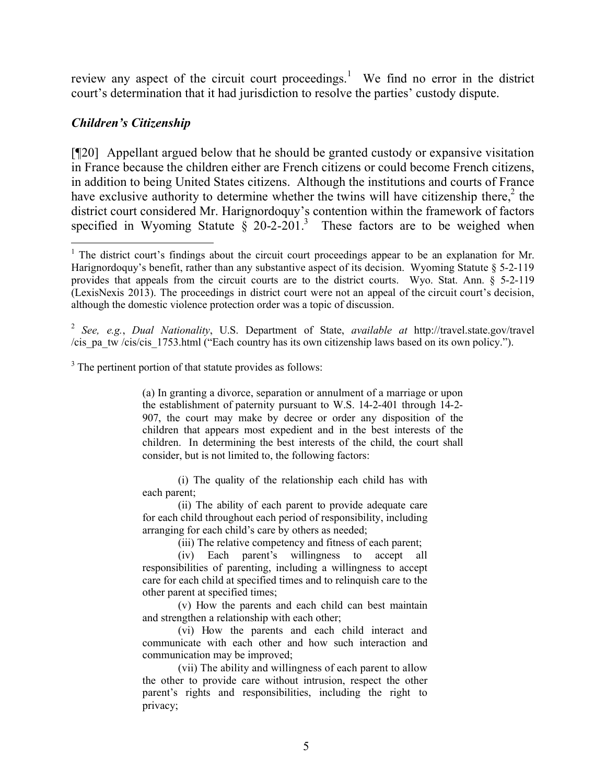review any aspect of the circuit court proceedings.<sup>1</sup> We find no error in the district court's determination that it had jurisdiction to resolve the parties' custody dispute.

### *Children's Citizenship*

[¶20] Appellant argued below that he should be granted custody or expansive visitation in France because the children either are French citizens or could become French citizens, in addition to being United States citizens. Although the institutions and courts of France have exclusive authority to determine whether the twins will have citizenship there, $2$  the district court considered Mr. Harignordoquy's contention within the framework of factors specified in Wyoming Statute  $\frac{8}{9}$  20-2-201.<sup>3</sup> These factors are to be weighed when

2 *See, e.g.*, *Dual Nationality*, U.S. Department of State, *available at* http://travel.state.gov/travel /cis\_pa\_tw /cis/cis\_1753.html ("Each country has its own citizenship laws based on its own policy.").

<sup>3</sup> The pertinent portion of that statute provides as follows:

(a) In granting a divorce, separation or annulment of a marriage or upon the establishment of paternity pursuant to W.S. 14-2-401 through 14-2- 907, the court may make by decree or order any disposition of the children that appears most expedient and in the best interests of the children. In determining the best interests of the child, the court shall consider, but is not limited to, the following factors:

(i) The quality of the relationship each child has with each parent;

(ii) The ability of each parent to provide adequate care for each child throughout each period of responsibility, including arranging for each child's care by others as needed;

(iii) The relative competency and fitness of each parent;

(iv) Each parent's willingness to accept all responsibilities of parenting, including a willingness to accept care for each child at specified times and to relinquish care to the other parent at specified times;

(v) How the parents and each child can best maintain and strengthen a relationship with each other;

(vi) How the parents and each child interact and communicate with each other and how such interaction and communication may be improved;

(vii) The ability and willingness of each parent to allow the other to provide care without intrusion, respect the other parent's rights and responsibilities, including the right to privacy;

<sup>&</sup>lt;sup>1</sup> The district court's findings about the circuit court proceedings appear to be an explanation for Mr. Harignordoquy's benefit, rather than any substantive aspect of its decision. Wyoming Statute § 5-2-119 provides that appeals from the circuit courts are to the district courts. Wyo. Stat. Ann. § 5-2-119 (LexisNexis 2013). The proceedings in district court were not an appeal of the circuit court's decision, although the domestic violence protection order was a topic of discussion.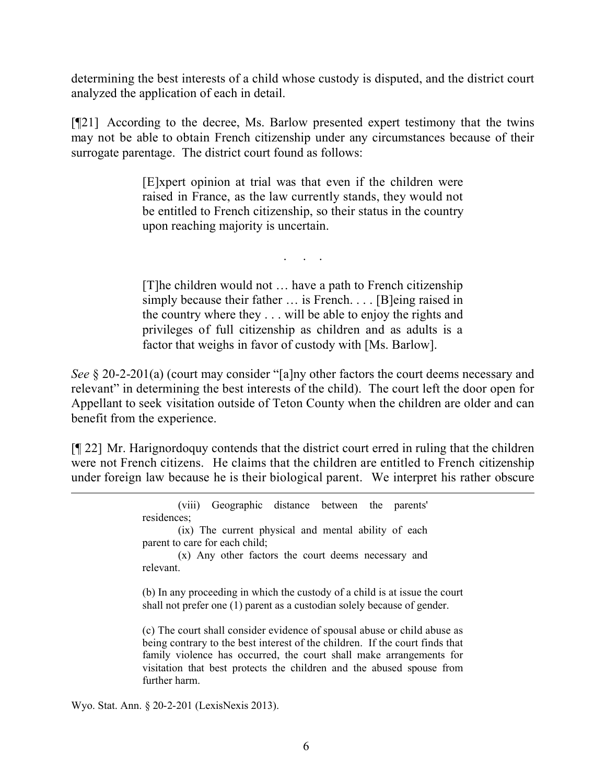determining the best interests of a child whose custody is disputed, and the district court analyzed the application of each in detail.

[¶21] According to the decree, Ms. Barlow presented expert testimony that the twins may not be able to obtain French citizenship under any circumstances because of their surrogate parentage. The district court found as follows:

> [E]xpert opinion at trial was that even if the children were raised in France, as the law currently stands, they would not be entitled to French citizenship, so their status in the country upon reaching majority is uncertain.

> > . . . .

[T]he children would not … have a path to French citizenship simply because their father … is French. . . . [B]eing raised in the country where they . . . will be able to enjoy the rights and privileges of full citizenship as children and as adults is a factor that weighs in favor of custody with [Ms. Barlow].

*See* § 20-2-201(a) (court may consider "[a]ny other factors the court deems necessary and relevant" in determining the best interests of the child). The court left the door open for Appellant to seek visitation outside of Teton County when the children are older and can benefit from the experience.

[¶ 22] Mr. Harignordoquy contends that the district court erred in ruling that the children were not French citizens. He claims that the children are entitled to French citizenship under foreign law because he is their biological parent. We interpret his rather obscure

| (viii) Geographic distance between the parents'                                                                                                                                                                                                                                                                          |
|--------------------------------------------------------------------------------------------------------------------------------------------------------------------------------------------------------------------------------------------------------------------------------------------------------------------------|
| residences;                                                                                                                                                                                                                                                                                                              |
| (ix) The current physical and mental ability of each                                                                                                                                                                                                                                                                     |
| parent to care for each child;                                                                                                                                                                                                                                                                                           |
| (x) Any other factors the court deems necessary and                                                                                                                                                                                                                                                                      |
| relevant                                                                                                                                                                                                                                                                                                                 |
| (b) In any proceeding in which the custody of a child is at issue the court<br>shall not prefer one (1) parent as a custodian solely because of gender.                                                                                                                                                                  |
| (c) The court shall consider evidence of spousal abuse or child abuse as<br>being contrary to the best interest of the children. If the court finds that<br>family violence has occurred, the court shall make arrangements for<br>visitation that best protects the children and the abused spouse from<br>further harm |

Wyo. Stat. Ann. § 20-2-201 (LexisNexis 2013).

 $\overline{a}$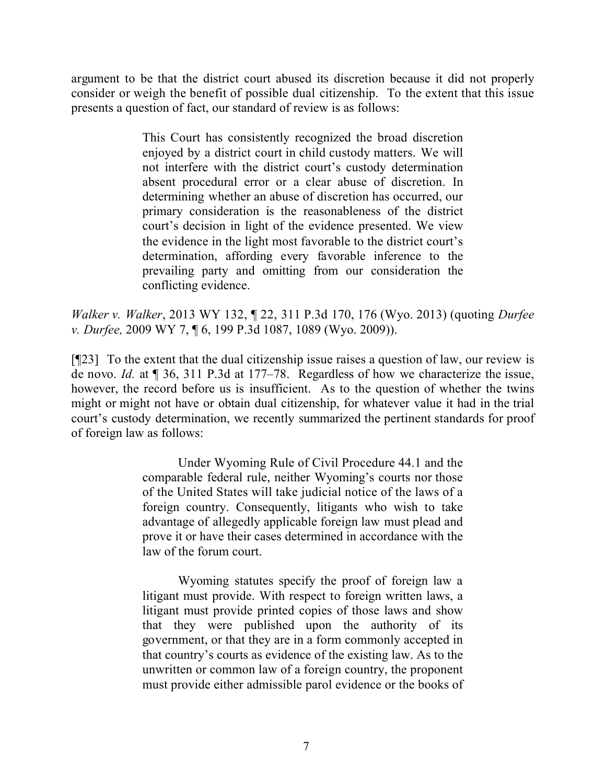argument to be that the district court abused its discretion because it did not properly consider or weigh the benefit of possible dual citizenship. To the extent that this issue presents a question of fact, our standard of review is as follows:

> This Court has consistently recognized the broad discretion enjoyed by a district court in child custody matters. We will not interfere with the district court's custody determination absent procedural error or a clear abuse of discretion. In determining whether an abuse of discretion has occurred, our primary consideration is the reasonableness of the district court's decision in light of the evidence presented. We view the evidence in the light most favorable to the district court's determination, affording every favorable inference to the prevailing party and omitting from our consideration the conflicting evidence.

*Walker v. Walker*, 2013 WY 132, ¶ 22, 311 P.3d 170, 176 (Wyo. 2013) (quoting *Durfee v. Durfee,* 2009 WY 7, ¶ 6, 199 P.3d 1087, 1089 (Wyo. 2009)).

[¶23] To the extent that the dual citizenship issue raises a question of law, our review is de novo. *Id.* at ¶ 36, 311 P.3d at 177–78. Regardless of how we characterize the issue, however, the record before us is insufficient. As to the question of whether the twins might or might not have or obtain dual citizenship, for whatever value it had in the trial court's custody determination, we recently summarized the pertinent standards for proof of foreign law as follows:

> Under Wyoming Rule of Civil Procedure 44.1 and the comparable federal rule, neither Wyoming's courts nor those of the United States will take judicial notice of the laws of a foreign country. Consequently, litigants who wish to take advantage of allegedly applicable foreign law must plead and prove it or have their cases determined in accordance with the law of the forum court.

> Wyoming statutes specify the proof of foreign law a litigant must provide. With respect to foreign written laws, a litigant must provide printed copies of those laws and show that they were published upon the authority of its government, or that they are in a form commonly accepted in that country's courts as evidence of the existing law. As to the unwritten or common law of a foreign country, the proponent must provide either admissible parol evidence or the books of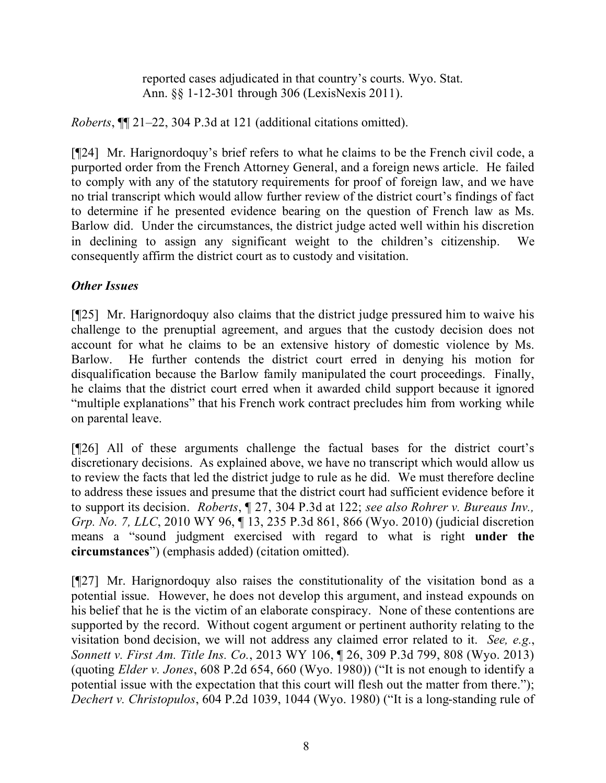reported cases adjudicated in that country's courts. Wyo. Stat. Ann. §§ 1-12-301 through 306 (LexisNexis 2011).

*Roberts*, ¶¶ 21–22, 304 P.3d at 121 (additional citations omitted).

[¶24] Mr. Harignordoquy's brief refers to what he claims to be the French civil code, a purported order from the French Attorney General, and a foreign news article. He failed to comply with any of the statutory requirements for proof of foreign law, and we have no trial transcript which would allow further review of the district court's findings of fact to determine if he presented evidence bearing on the question of French law as Ms. Barlow did. Under the circumstances, the district judge acted well within his discretion in declining to assign any significant weight to the children's citizenship. We consequently affirm the district court as to custody and visitation.

# *Other Issues*

[¶25] Mr. Harignordoquy also claims that the district judge pressured him to waive his challenge to the prenuptial agreement, and argues that the custody decision does not account for what he claims to be an extensive history of domestic violence by Ms. Barlow. He further contends the district court erred in denying his motion for disqualification because the Barlow family manipulated the court proceedings. Finally, he claims that the district court erred when it awarded child support because it ignored "multiple explanations" that his French work contract precludes him from working while on parental leave.

[¶26] All of these arguments challenge the factual bases for the district court's discretionary decisions. As explained above, we have no transcript which would allow us to review the facts that led the district judge to rule as he did. We must therefore decline to address these issues and presume that the district court had sufficient evidence before it to support its decision. *Roberts*, ¶ 27, 304 P.3d at 122; *see also Rohrer v. Bureaus Inv., Grp. No. 7, LLC*, 2010 WY 96, ¶ 13, 235 P.3d 861, 866 (Wyo. 2010) (judicial discretion means a "sound judgment exercised with regard to what is right **under the circumstances**") (emphasis added) (citation omitted).

[¶27] Mr. Harignordoquy also raises the constitutionality of the visitation bond as a potential issue. However, he does not develop this argument, and instead expounds on his belief that he is the victim of an elaborate conspiracy. None of these contentions are supported by the record. Without cogent argument or pertinent authority relating to the visitation bond decision, we will not address any claimed error related to it. *See, e.g.*, *Sonnett v. First Am. Title Ins. Co.*, 2013 WY 106, ¶ 26, 309 P.3d 799, 808 (Wyo. 2013) (quoting *Elder v. Jones*, 608 P.2d 654, 660 (Wyo. 1980)) ("It is not enough to identify a potential issue with the expectation that this court will flesh out the matter from there."); *Dechert v. Christopulos*, 604 P.2d 1039, 1044 (Wyo. 1980) ("It is a long-standing rule of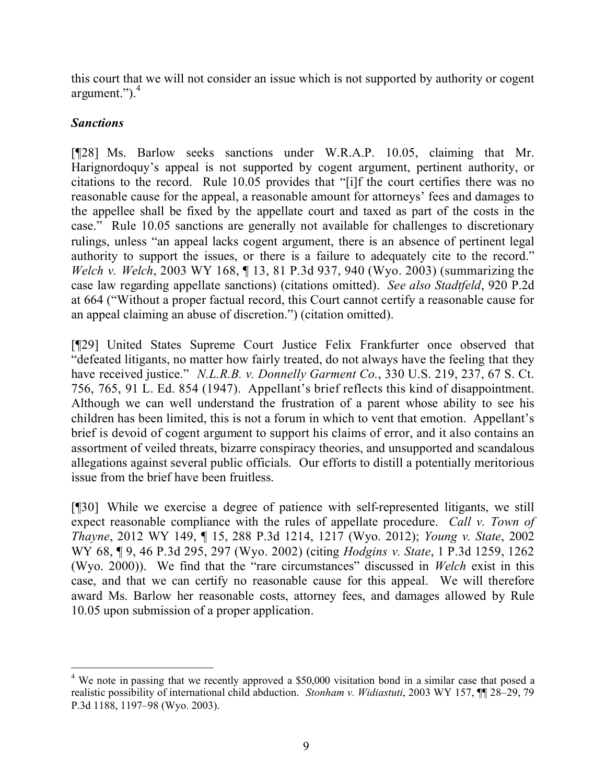this court that we will not consider an issue which is not supported by authority or cogent argument.").<sup>4</sup>

# *Sanctions*

[¶28] Ms. Barlow seeks sanctions under W.R.A.P. 10.05, claiming that Mr. Harignordoquy's appeal is not supported by cogent argument, pertinent authority, or citations to the record. Rule 10.05 provides that "[i]f the court certifies there was no reasonable cause for the appeal, a reasonable amount for attorneys' fees and damages to the appellee shall be fixed by the appellate court and taxed as part of the costs in the case." Rule 10.05 sanctions are generally not available for challenges to discretionary rulings, unless "an appeal lacks cogent argument, there is an absence of pertinent legal authority to support the issues, or there is a failure to adequately cite to the record." *Welch v. Welch*, 2003 WY 168, ¶ 13, 81 P.3d 937, 940 (Wyo. 2003) (summarizing the case law regarding appellate sanctions) (citations omitted). *See also Stadtfeld*, 920 P.2d at 664 ("Without a proper factual record, this Court cannot certify a reasonable cause for an appeal claiming an abuse of discretion.") (citation omitted).

[¶29] United States Supreme Court Justice Felix Frankfurter once observed that "defeated litigants, no matter how fairly treated, do not always have the feeling that they have received justice." *N.L.R.B. v. Donnelly Garment Co.*, 330 U.S. 219, 237, 67 S. Ct. 756, 765, 91 L. Ed. 854 (1947). Appellant's brief reflects this kind of disappointment. Although we can well understand the frustration of a parent whose ability to see his children has been limited, this is not a forum in which to vent that emotion. Appellant's brief is devoid of cogent argument to support his claims of error, and it also contains an assortment of veiled threats, bizarre conspiracy theories, and unsupported and scandalous allegations against several public officials. Our efforts to distill a potentially meritorious issue from the brief have been fruitless.

[¶30] While we exercise a degree of patience with self-represented litigants, we still expect reasonable compliance with the rules of appellate procedure. *Call v. Town of Thayne*, 2012 WY 149, ¶ 15, 288 P.3d 1214, 1217 (Wyo. 2012); *Young v. State*, 2002 WY 68, ¶ 9, 46 P.3d 295, 297 (Wyo. 2002) (citing *Hodgins v. State*, 1 P.3d 1259, 1262 (Wyo. 2000)). We find that the "rare circumstances" discussed in *Welch* exist in this case, and that we can certify no reasonable cause for this appeal. We will therefore award Ms. Barlow her reasonable costs, attorney fees, and damages allowed by Rule 10.05 upon submission of a proper application.

 <sup>4</sup> We note in passing that we recently approved a \$50,000 visitation bond in a similar case that posed a realistic possibility of international child abduction. *Stonham v. Widiastuti*, 2003 WY 157, ¶¶ 28–29, 79 P.3d 1188, 1197–98 (Wyo. 2003).